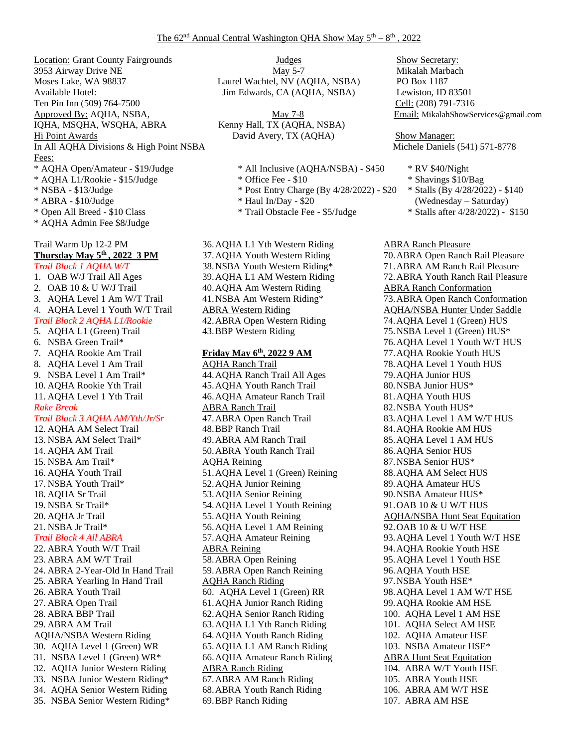Location: Grant County Fairgrounds 3953 Airway Drive NE Moses Lake, WA 98837 Available Hotel: Ten Pin Inn (509) 764-7500 Cell: (208) 791-7316 Approved By: AQHA, NSBA,  $\frac{\text{May } 7-8}{\text{May } 7-8}$  Email: MikalahShowServices@gmail.com IQHA, MSQHA, WSQHA, ABRA Kenny Hall, TX (AQHA, NSBA) Hi Point Awards David Avery, TX (AQHA) Show Manager: In All AQHA Divisions & High Point NSBA Michele Daniels (541) 571-8778 Fees: \* AQHA Open/Amateur - \$19/Judge \* All Inclusive (AQHA/NSBA) - \$450 \* RV \$40/Night \* AQHA L1/Rookie - \$15/Judge \* \* 0ffice Fee - \$10 \* Shavings \$10/Bag \* NSBA - \$13/Judge \* Post Entry Charge (By 4/28/2022) - \$20 \* Stalls (By 4/28/2022) - \$140 \* ABRA - \$10/Judge \* Haul In/Day - \$20 (Wednesday – Saturday) \* Open All Breed - \$10 Class \* Trail Obstacle Fee - \$5/Judge \* Stalls after 4/28/2022) - \$150 \* AQHA Admin Fee \$8/Judge Trail Warm Up 12-2 PM **Thursday May 5th , 2022 3 PM** *Trail Block 1 AQHA W/T* 1. OAB W/J Trail All Ages 2. OAB 10 & U W/J Trail 3. AQHA Level 1 Am W/T Trail 4. AQHA Level 1 Youth W/T Trail *Trail Block 2 AQHA L1/Rookie* 5. AQHA L1 (Green) Trail 6. NSBA Green Trail\* 7. AQHA Rookie Am Trail 8. AQHA Level 1 Am Trail 9. NSBA Level 1 Am Trail\* 10. AQHA Rookie Yth Trail 11. AQHA Level 1 Yth Trail *Rake Break Trail Block 3 AQHA AM/Yth/Jr/Sr* 12. AQHA AM Select Trail 13. NSBA AM Select Trail\* 14. AQHA AM Trail 15. NSBA Am Trail\* 16. AQHA Youth Trail 17. NSBA Youth Trail\* 18. AQHA Sr Trail 19. NSBA Sr Trail\* 20. AQHA Jr Trail 21. NSBA Jr Trail\* *Trail Block 4 All ABRA* 22. ABRA Youth W/T Trail 23. ABRA AM W/T Trail 24. ABRA 2-Year-Old In Hand Trail 25. ABRA Yearling In Hand Trail 26. ABRA Youth Trail 27. ABRA Open Trail 28. ABRA BBP Trail 29. ABRA AM Trail AQHA/NSBA Western Riding 30. AQHA Level 1 (Green) WR 31. NSBA Level 1 (Green) WR\*

32. AQHA Junior Western Riding 33. NSBA Junior Western Riding\* 34. AQHA Senior Western Riding 35. NSBA Senior Western Riding\*

Judges May 5-7 Laurel Wachtel, NV (AQHA, NSBA) Jim Edwards, CA (AQHA, NSBA)

- 
- 
- 
- 

36.AQHA L1 Yth Western Riding 37.AQHA Youth Western Riding 38.NSBA Youth Western Riding\* 39.AQHA L1 AM Western Riding 40.AQHA Am Western Riding 41.NSBA Am Western Riding\* ABRA Western Riding 42.ABRA Open Western Riding 43.BBP Western Riding

## **Friday May 6th, 2022 9 AM**

AQHA Ranch Trail 44.AQHA Ranch Trail All Ages 45.AQHA Youth Ranch Trail 46.AQHA Amateur Ranch Trail ABRA Ranch Trail 47.ABRA Open Ranch Trail 48.BBP Ranch Trail 49.ABRA AM Ranch Trail 50.ABRA Youth Ranch Trail AQHA Reining 51.AQHA Level 1 (Green) Reining 52.AQHA Junior Reining 53.AQHA Senior Reining 54.AQHA Level 1 Youth Reining 55.AQHA Youth Reining 56.AQHA Level 1 AM Reining 57.AQHA Amateur Reining ABRA Reining 58.ABRA Open Reining 59.ABRA Open Ranch Reining AQHA Ranch Riding 60. AQHA Level 1 (Green) RR 61.AQHA Junior Ranch Riding 62.AQHA Senior Ranch Riding 63.AQHA L1 Yth Ranch Riding 64.AQHA Youth Ranch Riding 65.AQHA L1 AM Ranch Riding 66.AQHA Amateur Ranch Riding ABRA Ranch Riding 67.ABRA AM Ranch Riding 68.ABRA Youth Ranch Riding 69.BBP Ranch Riding

Show Secretary: Mikalah Marbach PO Box 1187 Lewiston, ID 83501

- 
- 
- -
	-

## ABRA Ranch Pleasure 70.ABRA Open Ranch Rail Pleasure 71.ABRA AM Ranch Rail Pleasure 72.ABRA Youth Ranch Rail Pleasure ABRA Ranch Conformation 73.ABRA Open Ranch Conformation AQHA/NSBA Hunter Under Saddle 74.AQHA Level 1 (Green) HUS 75.NSBA Level 1 (Green) HUS\* 76.AQHA Level 1 Youth W/T HUS 77.AQHA Rookie Youth HUS 78.AQHA Level 1 Youth HUS 79.AQHA Junior HUS 80.NSBA Junior HUS\* 81.AQHA Youth HUS 82.NSBA Youth HUS\* 83.AQHA Level 1 AM W/T HUS 84.AQHA Rookie AM HUS 85.AQHA Level 1 AM HUS 86.AQHA Senior HUS 87.NSBA Senior HUS\* 88.AQHA AM Select HUS 89.AQHA Amateur HUS 90.NSBA Amateur HUS\* 91.OAB 10 & U W/T HUS AQHA/NSBA Hunt Seat Equitation 92.OAB 10 & U W/T HSE 93.AQHA Level 1 Youth W/T HSE 94.AQHA Rookie Youth HSE 95.AQHA Level 1 Youth HSE 96.AQHA Youth HSE 97.NSBA Youth HSE\* 98.AQHA Level 1 AM W/T HSE 99.AQHA Rookie AM HSE 100. AQHA Level 1 AM HSE 101. AQHA Select AM HSE 102. AQHA Amateur HSE 103. NSBA Amateur HSE\* ABRA Hunt Seat Equitation 104. ABRA W/T Youth HSE 105. ABRA Youth HSE 106. ABRA AM W/T HSE 107. ABRA AM HSE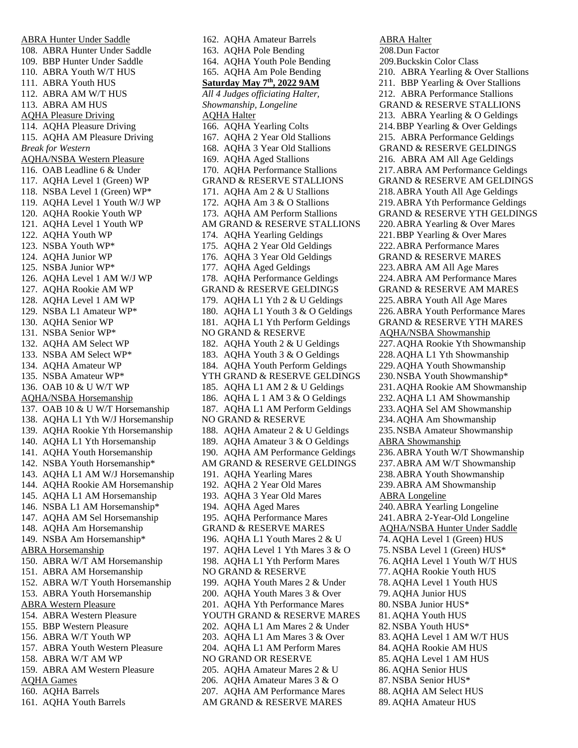ABRA Hunter Under Saddle 108. ABRA Hunter Under Saddle 109. BBP Hunter Under Saddle 110. ABRA Youth W/T HUS 111. ABRA Youth HUS 112. ABRA AM W/T HUS 113. ABRA AM HUS AQHA Pleasure Driving 114. AQHA Pleasure Driving 115. AQHA AM Pleasure Driving *Break for Western* AQHA/NSBA Western Pleasure 116. OAB Leadline 6 & Under 117. AQHA Level 1 (Green) WP 118. NSBA Level 1 (Green) WP\* 119. AQHA Level 1 Youth W/J WP 120. AQHA Rookie Youth WP 121. AQHA Level 1 Youth WP 122. AQHA Youth WP 123. NSBA Youth WP\* 124. AQHA Junior WP 125. NSBA Junior WP\* 126. AQHA Level 1 AM W/J WP 127. AQHA Rookie AM WP 128. AQHA Level 1 AM WP 129. NSBA L1 Amateur WP\* 130. AQHA Senior WP 131. NSBA Senior WP\* 132. AQHA AM Select WP 133. NSBA AM Select WP\* 134. AQHA Amateur WP 135. NSBA Amateur WP\* 136. OAB 10 & U W/T WP AQHA/NSBA Horsemanship 137. OAB 10 & U W/T Horsemanship 138. AQHA L1 Yth W/J Horsemanship 139. AQHA Rookie Yth Horsemanship 140. AQHA L1 Yth Horsemanship 141. AQHA Youth Horsemanship 142. NSBA Youth Horsemanship\* 143. AQHA L1 AM W/J Horsemanship 144. AQHA Rookie AM Horsemanship 145. AQHA L1 AM Horsemanship 146. NSBA L1 AM Horsemanship\* 147. AQHA AM Sel Horsemanship 148. AQHA Am Horsemanship 149. NSBA Am Horsemanship\* ABRA Horsemanship 150. ABRA W/T AM Horsemanship 151. ABRA AM Horsemanship 152. ABRA W/T Youth Horsemanship 153. ABRA Youth Horsemanship ABRA Western Pleasure 154. ABRA Western Pleasure 155. BBP Western Pleasure 156. ABRA W/T Youth WP 157. ABRA Youth Western Pleasure 158. ABRA W/T AM WP 159. ABRA AM Western Pleasure AQHA Games 160. AQHA Barrels 161. AQHA Youth Barrels

162. AQHA Amateur Barrels 163. AQHA Pole Bending 164. AQHA Youth Pole Bending 165. AQHA Am Pole Bending **Saturday May 7th, 2022 9AM** *All 4 Judges officiating Halter, Showmanship, Longeline* AQHA Halter 166. AQHA Yearling Colts 167. AQHA 2 Year Old Stallions 168. AQHA 3 Year Old Stallions 169. AQHA Aged Stallions 170. AQHA Performance Stallions GRAND & RESERVE STALLIONS 171. AQHA Am 2 & U Stallions 172. AQHA Am 3 & O Stallions 173. AQHA AM Perform Stallions AM GRAND & RESERVE STALLIONS 174. AQHA Yearling Geldings 175. AQHA 2 Year Old Geldings 176. AQHA 3 Year Old Geldings 177. AQHA Aged Geldings 178. AQHA Performance Geldings GRAND & RESERVE GELDINGS 179. AQHA L1 Yth 2 & U Geldings 180. AQHA L1 Youth 3 & O Geldings 181. AQHA L1 Yth Perform Geldings NO GRAND & RESERVE 182. AQHA Youth 2 & U Geldings 183. AQHA Youth 3 & O Geldings 184. AQHA Youth Perform Geldings YTH GRAND & RESERVE GELDINGS 185. AQHA L1 AM 2 & U Geldings 186. AQHA L 1 AM 3 & O Geldings 187. AQHA L1 AM Perform Geldings NO GRAND & RESERVE 188. AQHA Amateur 2 & U Geldings 189. AQHA Amateur 3 & O Geldings 190. AQHA AM Performance Geldings AM GRAND & RESERVE GELDINGS 191. AQHA Yearling Mares 192. AQHA 2 Year Old Mares 193. AQHA 3 Year Old Mares 194. AQHA Aged Mares 195. AQHA Performance Mares GRAND & RESERVE MARES 196. AQHA L1 Youth Mares 2 & U 197. AQHA Level 1 Yth Mares 3 & O 198. AQHA L1 Yth Perform Mares NO GRAND & RESERVE 199. AQHA Youth Mares 2 & Under 200. AQHA Youth Mares 3 & Over 201. AQHA Yth Performance Mares YOUTH GRAND & RESERVE MARES 202. AQHA L1 Am Mares 2 & Under 203. AQHA L1 Am Mares 3 & Over 204. AQHA L1 AM Perform Mares NO GRAND OR RESERVE 205. AQHA Amateur Mares 2 & U 206. AQHA Amateur Mares 3 & O 207. AQHA AM Performance Mares AM GRAND & RESERVE MARES

ABRA Halter 208.Dun Factor 209.Buckskin Color Class 210. ABRA Yearling & Over Stallions 211. BBP Yearling & Over Stallions 212. ABRA Performance Stallions GRAND & RESERVE STALLIONS 213. ABRA Yearling & O Geldings 214.BBP Yearling & Over Geldings 215. ABRA Performance Geldings GRAND & RESERVE GELDINGS 216. ABRA AM All Age Geldings 217.ABRA AM Performance Geldings GRAND & RESERVE AM GELDINGS 218.ABRA Youth All Age Geldings 219.ABRA Yth Performance Geldings GRAND & RESERVE YTH GELDINGS 220.ABRA Yearling & Over Mares 221.BBP Yearling & Over Mares 222.ABRA Performance Mares GRAND & RESERVE MARES 223.ABRA AM All Age Mares 224.ABRA AM Performance Mares GRAND & RESERVE AM MARES 225.ABRA Youth All Age Mares 226.ABRA Youth Performance Mares GRAND & RESERVE YTH MARES AQHA/NSBA Showmanship 227.AQHA Rookie Yth Showmanship 228.AQHA L1 Yth Showmanship 229.AQHA Youth Showmanship 230.NSBA Youth Showmanship\* 231.AQHA Rookie AM Showmanship 232.AQHA L1 AM Showmanship 233.AQHA Sel AM Showmanship 234.AQHA Am Showmanship 235.NSBA Amateur Showmanship ABRA Showmanship 236.ABRA Youth W/T Showmanship 237.ABRA AM W/T Showmanship 238.ABRA Youth Showmanship 239.ABRA AM Showmanship ABRA Longeline 240.ABRA Yearling Longeline 241.ABRA 2-Year-Old Longeline AQHA/NSBA Hunter Under Saddle 74. AQHA Level 1 (Green) HUS 75. NSBA Level 1 (Green) HUS\* 76. AQHA Level 1 Youth W/T HUS 77. AQHA Rookie Youth HUS 78. AQHA Level 1 Youth HUS 79. AQHA Junior HUS 80. NSBA Junior HUS\* 81. AQHA Youth HUS 82. NSBA Youth HUS\* 83. AQHA Level 1 AM W/T HUS 84. AQHA Rookie AM HUS 85. AQHA Level 1 AM HUS 86. AQHA Senior HUS 87. NSBA Senior HUS\* 88. AQHA AM Select HUS 89. AQHA Amateur HUS